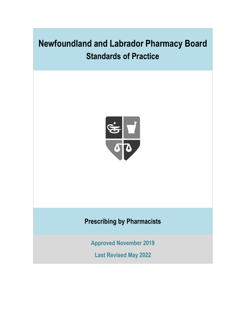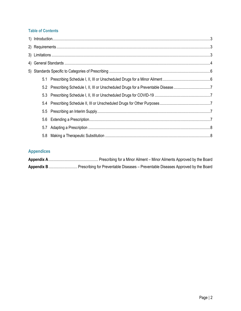# **Table of Contents**

| $\begin{minipage}[c]{0.9\linewidth} \textbf{1} \end{minipage} \begin{minipage}[c]{0.9\linewidth} \textbf{1} \end{minipage} \begin{minipage}[c]{0.9\linewidth} \textbf{2} \end{minipage} \begin{minipage}[c]{0.9\linewidth} \textbf{3} \end{minipage} \begin{minipage}[c]{0.9\linewidth} \textbf{4} \end{minipage} \begin{minipage}[c]{0.9\linewidth} \textbf{5} \end{minipage} \begin{minipage}[c]{0.9\linewidth} \textbf{6} \end{minipage} \begin{minipage}[c]{0.9\linewidth} \textbf{6} \end{$ |  |                                                                                     |  |
|--------------------------------------------------------------------------------------------------------------------------------------------------------------------------------------------------------------------------------------------------------------------------------------------------------------------------------------------------------------------------------------------------------------------------------------------------------------------------------------------------|--|-------------------------------------------------------------------------------------|--|
|                                                                                                                                                                                                                                                                                                                                                                                                                                                                                                  |  |                                                                                     |  |
|                                                                                                                                                                                                                                                                                                                                                                                                                                                                                                  |  |                                                                                     |  |
|                                                                                                                                                                                                                                                                                                                                                                                                                                                                                                  |  |                                                                                     |  |
|                                                                                                                                                                                                                                                                                                                                                                                                                                                                                                  |  |                                                                                     |  |
|                                                                                                                                                                                                                                                                                                                                                                                                                                                                                                  |  |                                                                                     |  |
|                                                                                                                                                                                                                                                                                                                                                                                                                                                                                                  |  |                                                                                     |  |
| 5.3                                                                                                                                                                                                                                                                                                                                                                                                                                                                                              |  |                                                                                     |  |
| 5.4                                                                                                                                                                                                                                                                                                                                                                                                                                                                                              |  |                                                                                     |  |
|                                                                                                                                                                                                                                                                                                                                                                                                                                                                                                  |  |                                                                                     |  |
|                                                                                                                                                                                                                                                                                                                                                                                                                                                                                                  |  |                                                                                     |  |
| 5.7                                                                                                                                                                                                                                                                                                                                                                                                                                                                                              |  |                                                                                     |  |
|                                                                                                                                                                                                                                                                                                                                                                                                                                                                                                  |  |                                                                                     |  |
|                                                                                                                                                                                                                                                                                                                                                                                                                                                                                                  |  | 5.2 Prescribing Schedule I, II, III or Unscheduled Drugs for a Preventable Disease7 |  |

# **Appendices**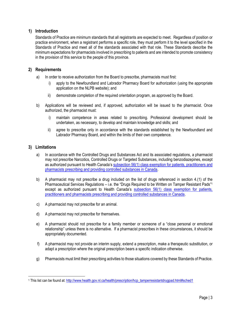# <span id="page-2-0"></span>**1) Introduction**

Standards of Practice are minimum standards that all registrants are expected to meet. Regardless of position or practice environment, when a registrant performs a specific role, they must perform it to the level specified in the Standards of Practice and meet all of the standards associated with that role. These Standards describe the minimum expectations for pharmacists involved in prescribing to patients and are intended to promote consistency in the provision of this service to the people of this province.

# <span id="page-2-1"></span>**2) Requirements**

- a) In order to receive authorization from the Board to prescribe, pharmacists must first:
	- i) apply to the Newfoundland and Labrador Pharmacy Board for authorization (using the appropriate application on the NLPB website); and
	- ii) demonstrate completion of the required orientation program, as approved by the Board.
- b) Applications will be reviewed and, if approved, authorization will be issued to the pharmacist. Once authorized, the pharmacist must:
	- i) maintain competence in areas related to prescribing. Professional development should be undertaken, as necessary, to develop and maintain knowledge and skills; and
	- ii) agree to prescribe only in accordance with the standards established by the Newfoundland and Labrador Pharmacy Board, and within the limits of their own competence.

### <span id="page-2-2"></span>**3) Limitations**

- a) In accordance with the Controlled Drugs and Substances Act and its associated regulations, a pharmacist may not prescribe Narcotics, Controlled Drugs or Targeted Substances, including benzodiazepines, except as authorized pursuant to Health Canada's [subsection 56\(1\) class exemption for patients, practitioners and](https://www.canada.ca/en/health-canada/services/health-concerns/controlled-substances-precursor-chemicals/policy-regulations/policy-documents/section-56-1-class-exemption-patients-pharmacists-practitioners-controlled-substances-covid-19-pandemic.html)  [pharmacists prescribing and providing controlled substances in Canada.](https://www.canada.ca/en/health-canada/services/health-concerns/controlled-substances-precursor-chemicals/policy-regulations/policy-documents/section-56-1-class-exemption-patients-pharmacists-practitioners-controlled-substances-covid-19-pandemic.html)
- b) A pharmacist may not prescribe a drug included on the list of drugs referenced in section 4.(1) of the Pharmaceutical Services Regulations – i.e. the "Drugs Required to be Written on Tamper Resistant Pads"<sup>1</sup> except as authorized pursuant to Health Canada's subsection 56(1) class exemption for patients, [practitioners and pharmacists prescribing and providing controlled substances in Canada.](https://www.canada.ca/en/health-canada/services/health-concerns/controlled-substances-precursor-chemicals/policy-regulations/policy-documents/section-56-1-class-exemption-patients-pharmacists-practitioners-controlled-substances-covid-19-pandemic.html)
- c) A pharmacist may not prescribe for an animal.
- d) A pharmacist may not prescribe for themselves.
- e) A pharmacist should not prescribe for a family member or someone of a "close personal or emotional relationship" unless there is no alternative. If a pharmacist prescribes in these circumstances, it should be appropriately documented.
- f) A pharmacist may not provide an interim supply, extend a prescription, make a therapeutic substitution, or adapt a prescription where the original prescription bears a specific indication otherwise.
- g) Pharmacists must limit their prescribing activities to those situations covered by these Standards of Practice.

<sup>1</sup> This list can be found at[: http://www.health.gov.nl.ca/health/prescription/hcp\\_tamperresistantdrugpad.html#sched1](http://www.health.gov.nl.ca/health/prescription/hcp_tamperresistantdrugpad.html#sched1)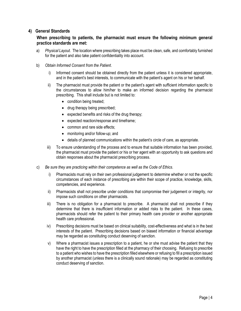# <span id="page-3-0"></span>**4) General Standards**

# **When prescribing to patients, the pharmacist must ensure the following minimum general practice standards are met:**

a) *Physical Layout*. The location where prescribing takes place must be clean, safe, and comfortably furnished for the patient and also take patient confidentiality into account.

### b) *Obtain Informed Consent from the Patient*.

- Informed consent should be obtained directly from the patient unless it is considered appropriate, and in the patient's best interests, to communicate with the patient's agent on his or her behalf.
- ii) The pharmacist must provide the patient or the patient's agent with sufficient information specific to the circumstances to allow him/her to make an informed decision regarding the pharmacist prescribing. This shall include but is not limited to:
	- condition being treated;
	- drug therapy being prescribed;
	- expected benefits and risks of the drug therapy;
	- expected reaction/response and timeframe;
	- common and rare side effects;
	- monitoring and/or follow-up; and
	- details of planned communications within the patient's circle of care, as appropriate.
- iii) To ensure understanding of the process and to ensure that suitable information has been provided, the pharmacist must provide the patient or his or her agent with an opportunity to ask questions and obtain responses about the pharmacist prescribing process.
- c) *Be sure they are practicing within their competence as well as the Code of Ethics.* 
	- i) Pharmacists must rely on their own professional judgement to determine whether or not the specific circumstances of each instance of prescribing are within their scope of practice, knowledge, skills, competencies, and experience.
	- ii) Pharmacists shall not prescribe under conditions that compromise their judgement or integrity, nor impose such conditions on other pharmacists.
	- iii) There is no obligation for a pharmacist to prescribe. A pharmacist shall not prescribe if they determine that there is insufficient information or added risks to the patient. In these cases, pharmacists should refer the patient to their primary health care provider or another appropriate health care professional.
	- iv) Prescribing decisions must be based on clinical suitability, cost-effectiveness and what is in the best interests of the patient. Prescribing decisions based on biased information or financial advantage may be regarded as constituting conduct deserving of sanction.
	- v) Where a pharmacist issues a prescription to a patient, he or she must advise the patient that they have the right to have the prescription filled at the pharmacy of their choosing. Refusing to prescribe to a patient who wishes to have the prescription filled elsewhere or refusing to fill a prescription issued by another pharmacist (unless there is a clinically sound rationale) may be regarded as constituting conduct deserving of sanction.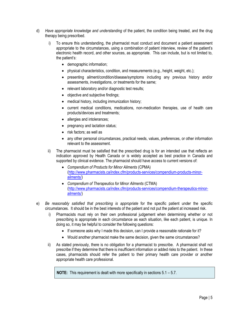- d) *Have appropriate knowledge and understanding* of the patient, the condition being treated, and the drug therapy being prescribed.
	- i) To ensure this understanding, the pharmacist must conduct and document a patient assessment appropriate to the circumstances, using a combination of patient interview, review of the patient's electronic health record, and other sources, as appropriate. This can include, but is not limited to, the patient's:
		- demographic information;
		- physical characteristics, condition, and measurements (e.g., height, weight, etc.);
		- presenting ailment/condition/disease/symptoms including any previous history and/or assessments, investigations, or treatments for the same;
		- relevant laboratory and/or diagnostic test results;
		- objective and subjective findings;
		- medical history, including immunization history;
		- current medical conditions, medications, non-medication therapies, use of health care products/devices and treatments;
		- allergies and intolerances:
		- pregnancy and lactation status;
		- risk factors; as well as
		- any other personal circumstances, practical needs, values, preferences, or other information relevant to the assessment.
	- ii) The pharmacist must be satisfied that the prescribed drug is for an intended use that reflects an indication approved by Health Canada or is widely accepted as best practice in Canada and supported by clinical evidence. The pharmacist should have access to current versions of:
		- *Compendium of Products for Minor Ailments* (CPMA) [\(http://www.pharmacists.ca/index.cfm/products-services/compendium-products-minor](http://www.pharmacists.ca/index.cfm/products-services/compendium-products-minor-ailments/)[ailments/\)](http://www.pharmacists.ca/index.cfm/products-services/compendium-products-minor-ailments/)
		- *Compendium of Therapeutics for Minor Ailments* (CTMA) [\(http://www.pharmacists.ca/index.cfm/products-services/compendium-therapeutics-minor](http://www.pharmacists.ca/index.cfm/products-services/compendium-therapeutics-minor-ailments/)[ailments/\)](http://www.pharmacists.ca/index.cfm/products-services/compendium-therapeutics-minor-ailments/)
- e) *Be reasonably satisfied that prescribing is appropriate* for the specific patient under the specific circumstances. It should be in the best interests of the patient and not put the patient at increased risk.
	- i) Pharmacists must rely on their own professional judgement when determining whether or not prescribing is appropriate in each circumstance as each situation, like each patient, is unique. In doing so, it may be helpful to consider the following questions:
		- If someone asks why I made this decision, can I provide a reasonable rationale for it?
		- Would another pharmacist make the same decision, given the same circumstances?
	- ii) As stated previously, there is no obligation for a pharmacist to prescribe. A pharmacist shall not prescribe if they determine that there is insufficient information or added risks to the patient. In these cases, pharmacists should refer the patient to their primary health care provider or another appropriate health care professional.

**NOTE:** This requirement is dealt with more specifically in sections 5.1 – 5.7.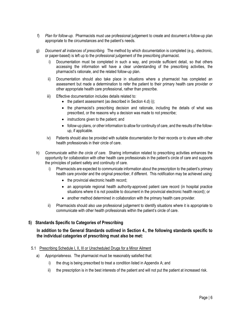- f) *Plan for follow-up.* Pharmacists must use professional judgement to create and document a follow-up plan appropriate to the circumstances and the patient's needs.
- g) *Document all instances of prescribing.* The method by which documentation is completed (e.g., electronic, or paper-based) is left up to the professional judgement of the prescribing pharmacist.
	- i) Documentation must be completed in such a way, and provide sufficient detail, so that others accessing the information will have a clear understanding of the prescribing activities, the pharmacist's rationale, and the related follow-up plan.
	- ii) Documentation should also take place in situations where a pharmacist has completed an assessment but made a determination to refer the patient to their primary health care provider or other appropriate health care professional, rather than prescribe.
	- iii) Effective documentation includes details related to:
		- the patient assessment (as described in Section 4.d) i));
		- the pharmacist's prescribing decision and rationale, including the details of what was prescribed, or the reasons why a decision was made to not prescribe;
		- instructions given to the patient; and
		- follow-up plans, or other information to allow for continuity of care, and the results of the followup, if applicable.
	- iv) Patients should also be provided with suitable documentation for their records or to share with other health professionals in their circle of care.
- h) *Communicate within the circle of care.* Sharing information related to prescribing activities enhances the opportunity for collaboration with other health care professionals in the patient's circle of care and supports the principles of patient safety and continuity of care.
	- i) Pharmacists are expected to communicate information about the prescription to the patient's primary health care provider and the original prescriber, if different. This notification may be achieved using:
		- the provincial electronic health record;
		- an appropriate regional health authority-approved patient care record (in hospital practice situations where it is not possible to document in the provincial electronic health record); or
		- another method determined in collaboration with the primary health care provider.
	- ii) Pharmacists should also use professional judgement to identify situations where it is appropriate to communicate with other health professionals within the patient's circle of care.

# <span id="page-5-0"></span>**5) Standards Specific to Categories of Prescribing**

# **In addition to the General Standards outlined in Section 4., the following standards specific to the individual categories of prescribing must also be met:**

### <span id="page-5-1"></span>5.1 Prescribing Schedule I, II, III or Unscheduled Drugs for a Minor Ailment

- a) *Appropriateness*. The pharmacist must be reasonably satisfied that:
	- i) the drug is being prescribed to treat a condition listed in Appendix A; and
	- ii) the prescription is in the best interests of the patient and will not put the patient at increased risk.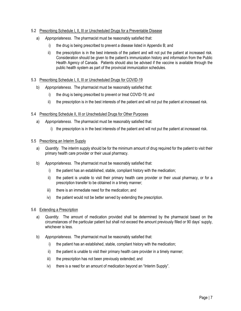### <span id="page-6-0"></span>5.2 Prescribing Schedule I, II, III or Unscheduled Drugs for a Preventable Disease

- a) *Appropriateness*. The pharmacist must be reasonably satisfied that:
	- i) the drug is being prescribed to prevent a disease listed in Appendix B; and
	- ii) the prescription is in the best interests of the patient and will not put the patient at increased risk. Consideration should be given to the patient's immunization history and information from the Public Health Agency of Canada. Patients should also be advised if the vaccine is available through the public health system as part of the provincial immunization schedules.

### <span id="page-6-1"></span>5.3 Prescribing Schedule I, II, III or Unscheduled Drugs for COVID-19

- b) *Appropriateness*. The pharmacist must be reasonably satisfied that:
	- i) the drug is being prescribed to prevent or treat COVID-19; and
	- ii) the prescription is in the best interests of the patient and will not put the patient at increased risk.

### <span id="page-6-2"></span>5.4 Prescribing Schedule II, III or Unscheduled Drugs for Other Purposes

- a) *Appropriateness*. The pharmacist must be reasonably satisfied that:
	- i) the prescription is in the best interests of the patient and will not put the patient at increased risk.

#### <span id="page-6-3"></span>5.5 Prescribing an Interim Supply

- a) *Quantity*. The interim supply should be for the minimum amount of drug required for the patient to visit their primary health care provider or their usual pharmacy.
- b) *Appropriateness.* The pharmacist must be reasonably satisfied that:
	- i) the patient has an established, stable, compliant history with the medication;
	- ii) the patient is unable to visit their primary health care provider or their usual pharmacy, or for a prescription transfer to be obtained in a timely manner;
	- iii) there is an immediate need for the medication; and
	- iv) the patient would not be better served by extending the prescription.

#### <span id="page-6-4"></span>5.6 Extending a Prescription

- a) *Quantity*. The amount of medication provided shall be determined by the pharmacist based on the circumstances of the particular patient but shall not exceed the amount previously filled or 90 days' supply, whichever is less.
- b) *Appropriateness.* The pharmacist must be reasonably satisfied that:
	- i) the patient has an established, stable, compliant history with the medication;
	- ii) the patient is unable to visit their primary health care provider in a timely manner;
	- iii) the prescription has not been previously extended; and
	- iv) there is a need for an amount of medication beyond an "Interim Supply".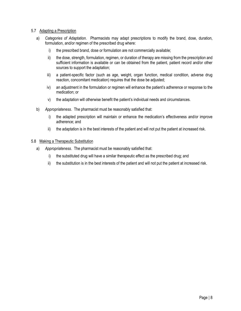### <span id="page-7-0"></span>5.7 Adapting a Prescription

- a) *Categories of Adaptation*. Pharmacists may adapt prescriptions to modify the brand, dose, duration, formulation, and/or regimen of the prescribed drug where:
	- i) the prescribed brand, dose or formulation are not commercially available;
	- ii) the dose, strength, formulation, regimen, or duration of therapy are missing from the prescription and sufficient information is available or can be obtained from the patient, patient record and/or other sources to support the adaptation;
	- iii) a patient-specific factor (such as age, weight, organ function, medical condition, adverse drug reaction, concomitant medication) requires that the dose be adjusted;
	- iv) an adjustment in the formulation or regimen will enhance the patient's adherence or response to the medication; or
	- v) the adaptation will otherwise benefit the patient's individual needs and circumstances.
- b) *Appropriateness*. The pharmacist must be reasonably satisfied that:
	- i) the adapted prescription will maintain or enhance the medication's effectiveness and/or improve adherence; and
	- ii) the adaptation is in the best interests of the patient and will not put the patient at increased risk.

### <span id="page-7-1"></span>5.8 Making a Therapeutic Substitution

- a) *Appropriateness*. The pharmacist must be reasonably satisfied that:
	- i) the substituted drug will have a similar therapeutic effect as the prescribed drug; and
	- ii) the substitution is in the best interests of the patient and will not put the patient at increased risk.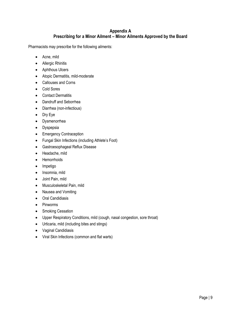# **Appendix A Prescribing for a Minor Ailment – Minor Ailments Approved by the Board**

Pharmacists may prescribe for the following ailments:

- Acne, mild
- Allergic Rhinitis
- Aphthous Ulcers
- Atopic Dermatitis, mild-moderate
- Callouses and Corns
- Cold Sores
- Contact Dermatitis
- Dandruff and Seborrhea
- Diarrhea (non-infectious)
- Dry Eye
- Dysmenorrhea
- Dyspepsia
- Emergency Contraception
- Fungal Skin Infections (including Athlete's Foot)
- Gastroesophageal Reflux Disease
- Headache, mild
- Hemorrhoids
- Impetigo
- Insomnia, mild
- Joint Pain, mild
- Musculoskeletal Pain, mild
- Nausea and Vomiting
- Oral Candidiasis
- Pinworms
- Smoking Cessation
- Upper Respiratory Conditions, mild (cough, nasal congestion, sore throat)
- Urticaria, mild (including bites and stings)
- Vaginal Candidiasis
- Viral Skin Infections (common and flat warts)